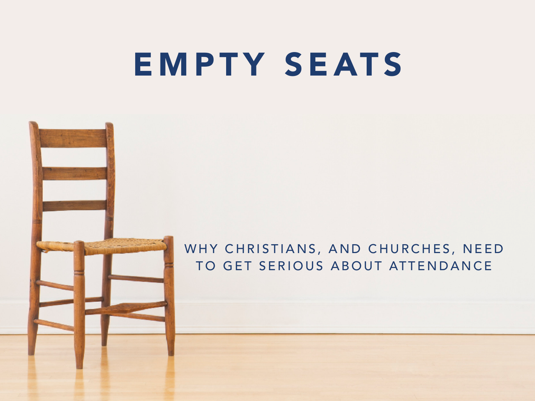## EMPTY SEATS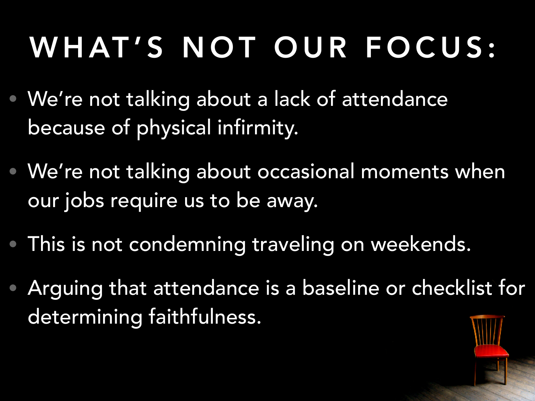# WHAT'S NOT OUR FOCUS:

- We're not talking about a lack of attendance because of physical infirmity.
- We're not talking about occasional moments when our jobs require us to be away.
- This is not condemning traveling on weekends.
- Arguing that attendance is a baseline or checklist for determining faithfulness.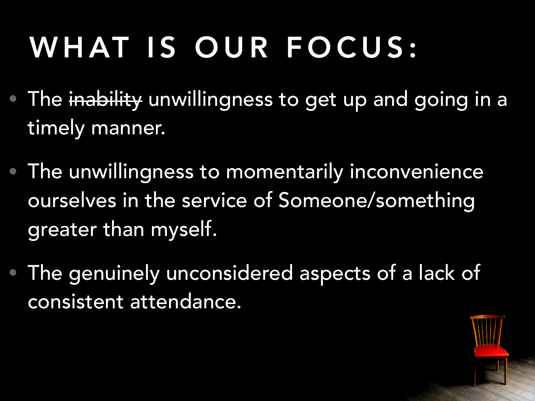# WHAT IS OUR FOCUS:

- The inability unwillingness to get up and going in a timely manner.
- The unwillingness to momentarily inconvenience ourselves in the service of Someone/something greater than myself.
- The genuinely unconsidered aspects of a lack of consistent attendance.

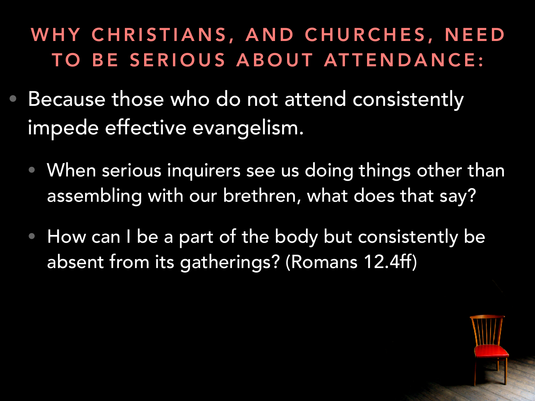- Because those who do not attend consistently impede effective evangelism.
	- When serious inquirers see us doing things other than assembling with our brethren, what does that say?
	- How can I be a part of the body but consistently be absent from its gatherings? (Romans 12.4ff)

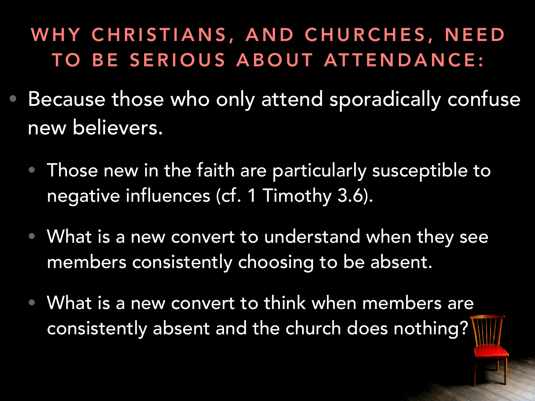- Because those who only attend sporadically confuse new believers.
	- Those new in the faith are particularly susceptible to negative influences (cf. 1 Timothy 3.6).
	- What is a new convert to understand when they see members consistently choosing to be absent.
	- What is a new convert to think when members are consistently absent and the church does nothing?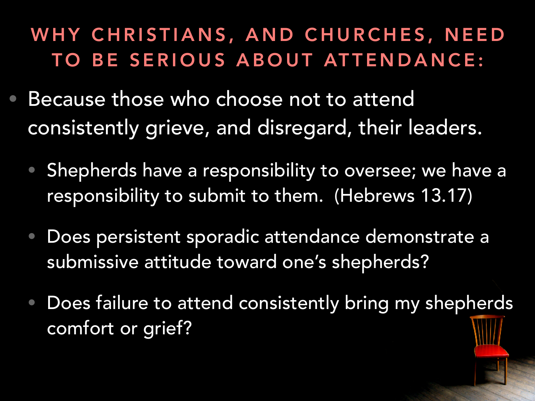- Because those who choose not to attend consistently grieve, and disregard, their leaders.
	- Shepherds have a responsibility to oversee; we have a responsibility to submit to them. (Hebrews 13.17)
	- Does persistent sporadic attendance demonstrate a submissive attitude toward one's shepherds?
	- Does failure to attend consistently bring my shepherds comfort or grief?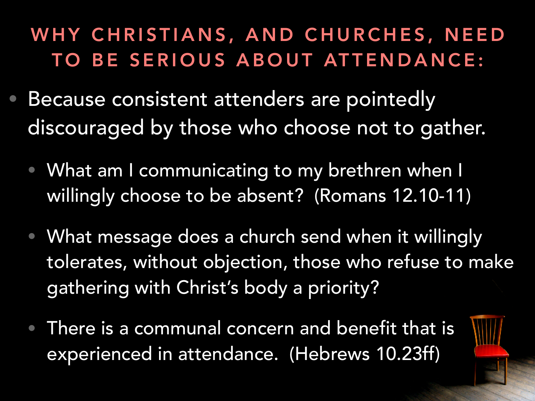- Because consistent attenders are pointedly discouraged by those who choose not to gather.
	- What am I communicating to my brethren when I willingly choose to be absent? (Romans 12.10-11)
	- What message does a church send when it willingly tolerates, without objection, those who refuse to make gathering with Christ's body a priority?
	- There is a communal concern and benefit that is experienced in attendance. (Hebrews 10.23ff)